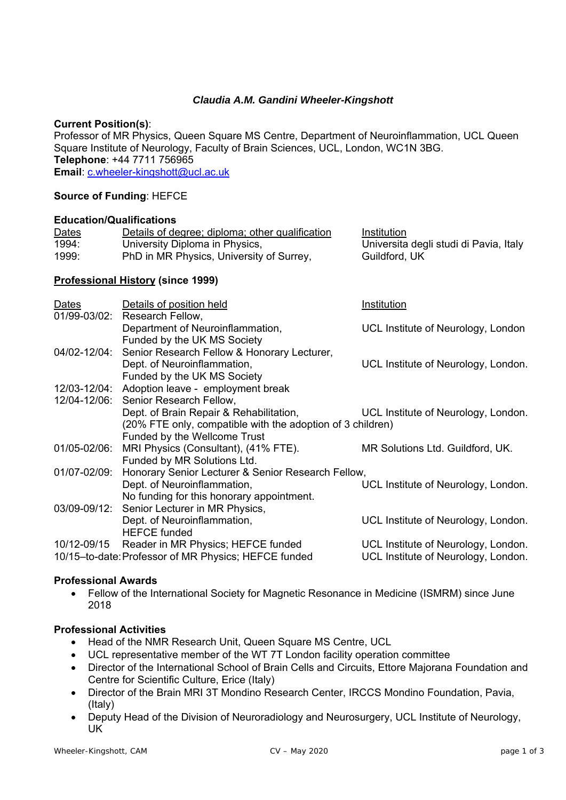# *Claudia A.M. Gandini Wheeler-Kingshott*

## **Current Position(s)**:

Professor of MR Physics, Queen Square MS Centre, Department of Neuroinflammation, UCL Queen Square Institute of Neurology, Faculty of Brain Sciences, UCL, London, WC1N 3BG. **Telephone**: +44 7711 756965 **Email**: c.wheeler-kingshott@ucl.ac.uk

## **Source of Funding**: HEFCE

#### **Education/Qualifications**

| <b>Dates</b> | Details of degree; diploma; other qualification | Institution                            |
|--------------|-------------------------------------------------|----------------------------------------|
| 1994:        | University Diploma in Physics,                  | Universita degli studi di Pavia, Italy |
| 1999:        | PhD in MR Physics, University of Surrey,        | Guildford, UK                          |

#### **Professional History (since 1999)**

| Dates                                                | Details of position held                                   | Institution                         |
|------------------------------------------------------|------------------------------------------------------------|-------------------------------------|
| 01/99-03/02:                                         | Research Fellow,                                           |                                     |
|                                                      | Department of Neuroinflammation,                           | UCL Institute of Neurology, London  |
|                                                      | Funded by the UK MS Society                                |                                     |
| 04/02-12/04:                                         | Senior Research Fellow & Honorary Lecturer,                |                                     |
|                                                      | Dept. of Neuroinflammation,                                | UCL Institute of Neurology, London. |
|                                                      | Funded by the UK MS Society                                |                                     |
| 12/03-12/04:                                         | Adoption leave - employment break                          |                                     |
| 12/04-12/06:                                         | Senior Research Fellow,                                    |                                     |
|                                                      | Dept. of Brain Repair & Rehabilitation,                    | UCL Institute of Neurology, London. |
|                                                      | (20% FTE only, compatible with the adoption of 3 children) |                                     |
|                                                      | Funded by the Wellcome Trust                               |                                     |
| 01/05-02/06:                                         | MRI Physics (Consultant), (41% FTE).                       | MR Solutions Ltd. Guildford, UK.    |
|                                                      | Funded by MR Solutions Ltd.                                |                                     |
| 01/07-02/09:                                         | Honorary Senior Lecturer & Senior Research Fellow,         |                                     |
|                                                      | Dept. of Neuroinflammation,                                | UCL Institute of Neurology, London. |
|                                                      | No funding for this honorary appointment.                  |                                     |
| 03/09-09/12:                                         | Senior Lecturer in MR Physics,                             |                                     |
|                                                      | Dept. of Neuroinflammation,                                | UCL Institute of Neurology, London. |
|                                                      | <b>HEFCE</b> funded                                        |                                     |
| 10/12-09/15                                          | Reader in MR Physics; HEFCE funded                         | UCL Institute of Neurology, London. |
| 10/15-to-date: Professor of MR Physics; HEFCE funded |                                                            | UCL Institute of Neurology, London. |

#### **Professional Awards**

 Fellow of the International Society for Magnetic Resonance in Medicine (ISMRM) since June 2018

# **Professional Activities**

- Head of the NMR Research Unit, Queen Square MS Centre, UCL
- UCL representative member of the WT 7T London facility operation committee
- Director of the International School of Brain Cells and Circuits, Ettore Majorana Foundation and Centre for Scientific Culture, Erice (Italy)
- Director of the Brain MRI 3T Mondino Research Center, IRCCS Mondino Foundation, Pavia, (Italy)
- Deputy Head of the Division of Neuroradiology and Neurosurgery, UCL Institute of Neurology, UK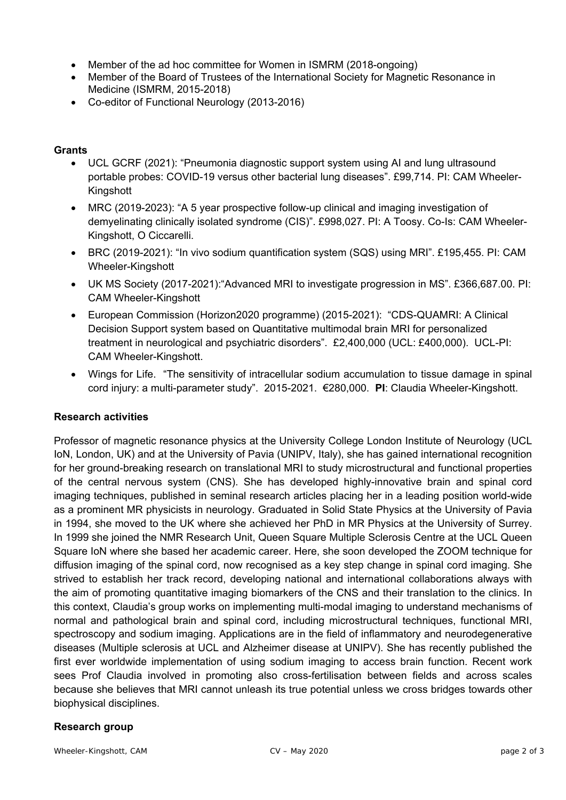- Member of the ad hoc committee for Women in ISMRM (2018-ongoing)
- Member of the Board of Trustees of the International Society for Magnetic Resonance in Medicine (ISMRM, 2015-2018)
- Co-editor of Functional Neurology (2013-2016)

# **Grants**

- UCL GCRF (2021): "Pneumonia diagnostic support system using AI and lung ultrasound portable probes: COVID-19 versus other bacterial lung diseases". £99,714. PI: CAM Wheeler-Kingshott
- MRC (2019-2023): "A 5 year prospective follow-up clinical and imaging investigation of demyelinating clinically isolated syndrome (CIS)". £998,027. PI: A Toosy. Co-Is: CAM Wheeler-Kingshott, O Ciccarelli.
- BRC (2019-2021): "In vivo sodium quantification system (SQS) using MRI". £195,455. PI: CAM Wheeler-Kingshott
- UK MS Society (2017-2021):"Advanced MRI to investigate progression in MS". £366,687.00. PI: CAM Wheeler-Kingshott
- European Commission (Horizon2020 programme) (2015-2021): "CDS-QUAMRI: A Clinical Decision Support system based on Quantitative multimodal brain MRI for personalized treatment in neurological and psychiatric disorders". £2,400,000 (UCL: £400,000). UCL-PI: CAM Wheeler-Kingshott.
- Wings for Life. "The sensitivity of intracellular sodium accumulation to tissue damage in spinal cord injury: a multi-parameter study". 2015-2021. €280,000. **PI**: Claudia Wheeler-Kingshott.

# **Research activities**

Professor of magnetic resonance physics at the University College London Institute of Neurology (UCL IoN, London, UK) and at the University of Pavia (UNIPV, Italy), she has gained international recognition for her ground-breaking research on translational MRI to study microstructural and functional properties of the central nervous system (CNS). She has developed highly-innovative brain and spinal cord imaging techniques, published in seminal research articles placing her in a leading position world-wide as a prominent MR physicists in neurology. Graduated in Solid State Physics at the University of Pavia in 1994, she moved to the UK where she achieved her PhD in MR Physics at the University of Surrey. In 1999 she joined the NMR Research Unit, Queen Square Multiple Sclerosis Centre at the UCL Queen Square IoN where she based her academic career. Here, she soon developed the ZOOM technique for diffusion imaging of the spinal cord, now recognised as a key step change in spinal cord imaging. She strived to establish her track record, developing national and international collaborations always with the aim of promoting quantitative imaging biomarkers of the CNS and their translation to the clinics. In this context, Claudia's group works on implementing multi-modal imaging to understand mechanisms of normal and pathological brain and spinal cord, including microstructural techniques, functional MRI, spectroscopy and sodium imaging. Applications are in the field of inflammatory and neurodegenerative diseases (Multiple sclerosis at UCL and Alzheimer disease at UNIPV). She has recently published the first ever worldwide implementation of using sodium imaging to access brain function. Recent work sees Prof Claudia involved in promoting also cross-fertilisation between fields and across scales because she believes that MRI cannot unleash its true potential unless we cross bridges towards other biophysical disciplines.

# **Research group**